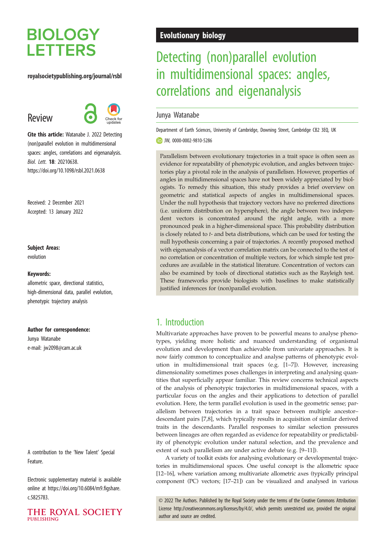# **BIOLOGY LETTERS**

#### royalsocietypublishing.org/journal/rsbl

## Review



Cite this article: Watanabe J. 2022 Detecting (non)parallel evolution in multidimensional spaces: angles, correlations and eigenanalysis. Biol. Lett. 18: 20210638. https://doi.org/10.1098/rsbl.2021.0638

Received: 2 December 2021 Accepted: 13 January 2022

#### Subject Areas:

evolution

#### Keywords:

allometric space, directional statistics, high-dimensional data, parallel evolution, phenotypic trajectory analysis

#### Author for correspondence:

Junya Watanabe e-mail: [jw2098@cam.ac.uk](mailto:jw2098@cam.ac.uk)

A contribution to the 'New Talent' Special Feature.

Electronic supplementary material is available online at [https://doi.org/10.6084/m9.figshare.](https://doi.org/10.6084/m9.figshare.c.5825783) [c.5825783.](https://doi.org/10.6084/m9.figshare.c.5825783)



## Evolutionary biology

## Detecting (non)parallel evolution in multidimensional spaces: angles, correlations and eigenanalysis

### Junya Watanabe

Department of Earth Sciences, University of Cambridge, Downing Street, Cambridge CB2 3EQ, UK

#### JW, [0000-0002-9810-5286](http://orcid.org/0000-0002-9810-5286)

Parallelism between evolutionary trajectories in a trait space is often seen as evidence for repeatability of phenotypic evolution, and angles between trajectories play a pivotal role in the analysis of parallelism. However, properties of angles in multidimensional spaces have not been widely appreciated by biologists. To remedy this situation, this study provides a brief overview on geometric and statistical aspects of angles in multidimensional spaces. Under the null hypothesis that trajectory vectors have no preferred directions (i.e. uniform distribution on hypersphere), the angle between two independent vectors is concentrated around the right angle, with a more pronounced peak in a higher-dimensional space. This probability distribution is closely related to t- and beta distributions, which can be used for testing the null hypothesis concerning a pair of trajectories. A recently proposed method with eigenanalysis of a vector correlation matrix can be connected to the test of no correlation or concentration of multiple vectors, for which simple test procedures are available in the statistical literature. Concentration of vectors can also be examined by tools of directional statistics such as the Rayleigh test. These frameworks provide biologists with baselines to make statistically justified inferences for (non)parallel evolution.

## 1. Introduction

Multivariate approaches have proven to be powerful means to analyse phenotypes, yielding more holistic and nuanced understanding of organismal evolution and development than achievable from univariate approaches. It is now fairly common to conceptualize and analyse patterns of phenotypic evolution in multidimensional trait spaces (e.g. [\[1](#page-6-0)–[7\]](#page-7-0)). However, increasing dimensionality sometimes poses challenges in interpreting and analysing quantities that superficially appear familiar. This review concerns technical aspects of the analysis of phenotypic trajectories in multidimensional spaces, with a particular focus on the angles and their applications to detection of parallel evolution. Here, the term parallel evolution is used in the geometric sense; parallelism between trajectories in a trait space between multiple ancestor– descendant pairs [[7](#page-7-0),[8](#page-7-0)], which typically results in acquisition of similar derived traits in the descendants. Parallel responses to similar selection pressures between lineages are often regarded as evidence for repeatability or predictability of phenotypic evolution under natural selection, and the prevalence and extent of such parallelism are under active debate (e.g. [[9](#page-7-0)–[11](#page-7-0)]).

A variety of toolkit exists for analysing evolutionary or developmental trajectories in multidimensional spaces. One useful concept is the allometric space [[12](#page-7-0)–[16\]](#page-7-0), where variation among multivariate allometric axes (typically principal component (PC) vectors; [\[17](#page-7-0)–[21](#page-7-0)]) can be visualized and analysed in various

© 2022 The Authors. Published by the Royal Society under the terms of the Creative Commons Attribution License<http://creativecommons.org/licenses/by/4.0/>, which permits unrestricted use, provided the original author and source are credited.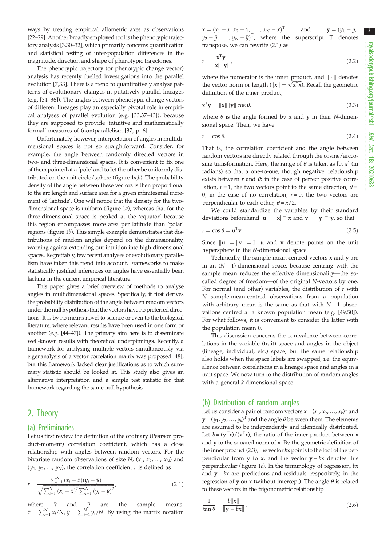ways by treating empirical allometric axes as observations [\[22](#page-7-0)–[29](#page-7-0)]. Another broadly employed tool is the phenotypic trajectory analysis [[3,30](#page-7-0)–[32\]](#page-7-0), which primarily concerns quantification and statistical testing of inter-population differences in the magnitude, direction and shape of phenotypic trajectories.

The phenotypic trajectory (or phenotypic change vector) analysis has recently fuelled investigations into the parallel evolution [[7](#page-7-0),[33\]](#page-7-0). There is a trend to quantitatively analyse patterns of evolutionary changes in putatively parallel lineages (e.g. [[34](#page-7-0)–[36](#page-7-0)]). The angles between phenotypic change vectors of different lineages play an especially pivotal role in empirical analyses of parallel evolution (e.g. [\[33](#page-7-0),[37](#page-7-0)–[43](#page-7-0)]), because they are supposed to provide 'intuitive and mathematically formal' measures of (non)parallelism [\[37](#page-7-0), p. 6].

Unfortunately, however, interpretation of angles in multidimensional spaces is not so straightforward. Consider, for example, the angle between randomly directed vectors in two- and three-dimensional spaces. It is convenient to fix one of them pointed at a 'pole' and to let the other be uniformly distributed on the unit circle/sphere (figure  $1a,b$ ). The probability density of the angle between these vectors is then proportional to the arc length and surface area for a given infinitesimal increment of 'latitude'. One will notice that the density for the twodimensional space is uniform ([figure 1](#page-2-0)a), whereas that for the three-dimensional space is peaked at the 'equator' because this region encompasses more area per latitude than 'polar' regions ([figure 1](#page-2-0)b). This simple example demonstrates that distributions of random angles depend on the dimensionality, warning against extending our intuition into high-dimensional spaces. Regrettably, few recent analyses of evolutionary parallelism have taken this trend into account. Frameworks to make statistically justified inferences on angles have essentially been lacking in the current empirical literature.

This paper gives a brief overview of methods to analyse angles in multidimensional spaces. Specifically, it first derives the probability distribution of the angle between random vectors under the null hypothesis that the vectors have no preferred directions. It is by no means novel to science or even to the biological literature, where relevant results have been used in one form or another (e.g. [[44](#page-7-0)–[47](#page-8-0)]). The primary aim here is to disseminate well-known results with theoretical underpinnings. Recently, a framework for analysing multiple vectors simultaneously via eigenanalysis of a vector correlation matrix was proposed [[48](#page-8-0)], but this framework lacked clear justifications as to which summary statistic should be looked at. This study also gives an alternative interpretation and a simple test statistic for that framework regarding the same null hypothesis.

## 2. Theory

#### (a) Preliminaries

Let us first review the definition of the ordinary (Pearson product-moment) correlation coefficient, which has a close relationship with angles between random vectors. For the bivariate random observations of size N,  $(x_1, x_2, ..., x_N)$  and  $(y_1, y_2, \ldots, y_N)$ , the correlation coefficient r is defined as

$$
r = \frac{\sum_{i=1}^{N} (x_i - \bar{x})(y_i - \bar{y})}{\sqrt{\sum_{i=1}^{N} (x_i - \bar{x})^2 \sum_{i=1}^{N} (y_i - \bar{y})^2}},
$$
(2.1)

where  $\bar{x}$  and  $\bar{y}$  are the sample means:  $\bar{x} = \sum_{i=1}^{N} x_i/N$ ,  $\bar{y} = \sum_{i=1}^{N} y_i/N$ . By using the matrix notation

 $\mathbf{x} = (x_1 - \bar{x}, x_2 - \bar{x}, \dots, x_N - \bar{x})$ T and  $y = (y_1 - \bar{y},$  $y_2 - \bar{y}, \ldots, y_N - \bar{y})^T$ , where the superscript T denotes transpose, we can rewrite (2.1) as

$$
r = \frac{\mathbf{x}^{\mathrm{T}} \mathbf{y}}{\|\mathbf{x}\| \|\mathbf{y}\|},\tag{2.2}
$$

where the numerator is the inner product, and  $\|\cdot\|$  denotes the vector norm or length  $(\|\mathbf{x}\| = \sqrt{\mathbf{x}^T\mathbf{x}})$ . Recall the geometric definition of the inner product,

$$
\mathbf{x}^{\mathrm{T}}\mathbf{y} = \|\mathbf{x}\| \|\mathbf{y}\| \cos \theta,\tag{2.3}
$$

where  $\theta$  is the angle formed by x and y in their N-dimensional space. Then, we have

$$
r = \cos \theta. \tag{2.4}
$$

That is, the correlation coefficient and the angle between random vectors are directly related through the cosine/arccosine transformation. Here, the range of  $\theta$  is taken as  $[0, \pi]$  (in radians) so that a one-to-one, though negative, relationship exists between  $r$  and  $\theta$ : in the case of perfect positive correlation,  $r = 1$ , the two vectors point to the same direction,  $\theta =$ 0; in the case of no correlation,  $r = 0$ , the two vectors are perpendicular to each other,  $\theta = \pi/2$ .

We could standardize the variables by their standard deviations beforehand:  $\mathbf{u} = ||\mathbf{x}||^{-1}\mathbf{x}$  and  $\mathbf{v} = ||\mathbf{y}||^{-1}\mathbf{y}$ , so that

$$
r = \cos \theta = \mathbf{u}^{\mathrm{T}} \mathbf{v}.\tag{2.5}
$$

Since  $\|\mathbf{u}\| = \|\mathbf{v}\| = 1$ , **u** and **v** denote points on the unit hypersphere in the N-dimensional space.

Technically, the sample-mean-centred vectors  $x$  and  $y$  are in an (N − 1)-dimensional space, because centring with the sample mean reduces the effective dimensionality—the socalled degree of freedom—of the original N-vectors by one. For normal (and other) variables, the distribution of  $r$  with N sample-mean-centred observations from a population with arbitrary mean is the same as that with  $N-1$  observations centred at a known population mean (e.g. [\[49](#page-8-0),[50\]](#page-8-0)). For what follows, it is convenient to consider the latter with the population mean 0.

This discussion concerns the equivalence between correlations in the variable (trait) space and angles in the object (lineage, individual, etc.) space, but the same relationship also holds when the space labels are swapped, i.e. the equivalence between correlations in a lineage space and angles in a trait space. We now turn to the distribution of random angles with a general *k*-dimensional space.

#### (b) Distribution of random angles

Let us consider a pair of random vectors  $\mathbf{x} = (x_1, x_2, \dots, x_k)^T$  and  $\mathbf{y} = (y_1, y_2, ..., y_k)^{\mathrm{T}}$  and the angle  $\theta$  between them. The elements are assumed to be independently and identically distributed. Let  $b = (\mathbf{y}^T \mathbf{x})/(\mathbf{x}^T \mathbf{x})$ , the ratio of the inner product between **x** and y to the squared norm of x. By the geometric definition of the inner product (2.3), the vector bx points to the foot of the perpendicular from y to x, and the vector  $y - bx$  denotes this perpendicular ([figure 1](#page-2-0)e). In the terminology of regression,  $bx$ and  $y - bx$  are predictions and residuals, respectively, in the regression of **y** on **x** (without intercept). The angle  $\theta$  is related to these vectors in the trigonometric relationship

$$
\frac{1}{\tan \theta} = \frac{b\|\mathbf{x}\|}{\|\mathbf{y} - b\mathbf{x}\|}.
$$
\n(2.6)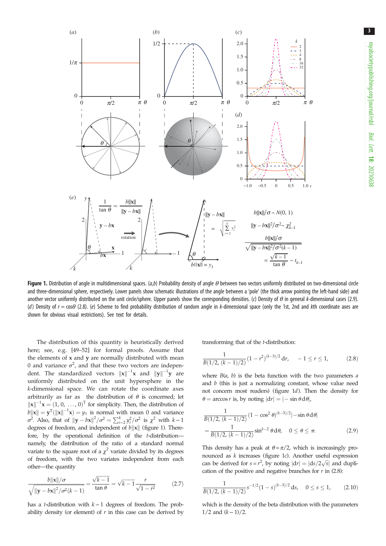<span id="page-2-0"></span>

Figure 1. Distribution of angle in multidimensional spaces. (a,b) Probability density of angle  $\theta$  between two vectors uniformly distributed on two-dimensional circle and three-dimensional sphere, respectively. Lower panels show schematic illustrations of the angle between a 'pole' (the thick arrow pointing the left-hand side) and another vector uniformly distributed on the unit circle/sphere. Upper panels show the corresponding densities. (c) Density of  $\theta$  in general k-dimensional cases (2.9). (d) Density of  $r = cos\theta$  (2.8). (e) Scheme to find probability distribution of random angle in k-dimensional space (only the 1st, 2nd and kth coordinate axes are shown for obvious visual restrictions). See text for details.

The distribution of this quantity is heuristically derived here; see, e.g. [[49](#page-8-0)–[52](#page-8-0)] for formal proofs. Assume that the elements of x and y are normally distributed with mean 0 and variance  $\sigma^2$ , and that these two vectors are independent. The standardized vectors  $\|x\|^{-1}x$  and  $\|y\|^{-1}y$  are uniformly distributed on the unit hypersphere in the k-dimensional space. We can rotate the coordinate axes arbitrarily as far as the distribution of  $\theta$  is concerned; let  $\|\mathbf{x}\|^{-1}\mathbf{x} = (1, 0, \dots, 0)^{\mathrm{T}}$  for simplicity. Then, the distribution of  $||b|| \times || = \mathbf{y}^T(||\mathbf{x}||^{-1}\mathbf{x}) = y_1$  is normal with mean 0 and variance  $\sigma^2$ . Also, that of  $\|\mathbf{y} - b\mathbf{x}\|^2 / \sigma^2 = \sum_{i=2}^k y_i^2 / \sigma^2$  is  $\chi^2$  with  $k-1$ degrees of freedom, and independent of  $b\|\mathbf{x}\|$  (figure 1). Therefore, by the operational definition of the t-distribution namely, the distribution of the ratio of a standard normal variate to the square root of a  $\chi^2$  variate divided by its degrees of freedom, with the two variates independent from each other—the quantity

$$
\frac{b\|\mathbf{x}\|/\sigma}{\sqrt{\|\mathbf{y}-b\mathbf{x}\|^2/\sigma^2(k-1)}} = \frac{\sqrt{k-1}}{\tan\theta} = \sqrt{k-1}\frac{r}{\sqrt{1-r^2}}
$$
(2.7)

has a t-distribution with k −1 degrees of freedom. The probability density (or element) of  $r$  in this case can be derived by transforming that of the t-distribution:

$$
\frac{1}{B(1/2, (k-1)/2)} (1 - r^2)^{(k-3)/2} \, \mathrm{d}r, \quad -1 \le r \le 1,\tag{2.8}
$$

where  $B(a, b)$  is the beta function with the two parameters a and  $b$  (this is just a normalizing constant, whose value need not concern most readers) (figure 1d). Then the density for  $\theta = \arccos r$  is, by noting  $|dr| = |- \sin \theta d\theta|$ ,

$$
\frac{1}{B(1/2, (k-1)/2)} (1 - \cos^2 \theta)^{(k-3)/2} | - \sin \theta d\theta|
$$
  
= 
$$
\frac{1}{B(1/2, (k-1)/2)} \sin^{k-2} \theta d\theta, \quad 0 \le \theta \le \pi.
$$
 (2.9)

This density has a peak at  $\theta = \pi/2$ , which is increasingly pronounced as k increases (figure 1c). Another useful expression can be derived for  $s = r^2$ , by noting  $|dr| = |ds/2\sqrt{s}|$  and duplication of the positive and negative branches for  $r$  in (2.8):

$$
\frac{1}{B(1/2, (k-1)/2)} s^{-1/2} (1-s)^{(k-3)/2} ds, \quad 0 \le s \le 1,
$$
 (2.10)

which is the density of the beta distribution with the parameters 1/2 and  $(k-1)/2$ .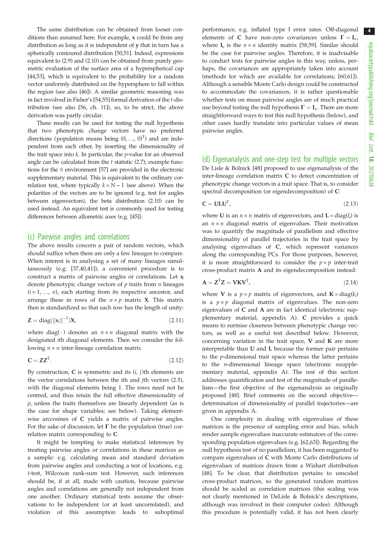The same distribution can be obtained from looser conditions than assumed here. For example, x could be from any distribution as long as it is independent of y that in turn has a spherically contoured distribution [[50,51\]](#page-8-0). Indeed, expressions equivalent to (2.9) and (2.10) can be obtained from purely geometric evaluation of the surface area of a hyperspherical cap [\[44](#page-7-0)[,53](#page-8-0)], which is equivalent to the probability for a random vector uniformly distributed on the hypersphere to fall within the region (see also [\[46](#page-8-0)]). A similar geometric reasoning was in fact involved in Fisher's [[54,55\]](#page-8-0) formal derivation of the t-distribution (see also [[56](#page-8-0), ch. 11]), so, to be strict, the above derivation was partly circular.

These results can be used for testing the null hypothesis that two phenotypic change vectors have no preferred directions (population means being  $(0, ..., 0)^T$ ) and are independent from each other, by inserting the dimensionality of the trait space into  $k$ . In particular, the  $p$ -value for an observed angle can be calculated from the  $t$  statistic (2.7); example functions for the R environment [\[57](#page-8-0)] are provided in the electronic supplementary material. This is equivalent to the ordinary correlation test, where typically  $k = N - 1$  (see above). When the polarities of the vectors are to be ignored (e.g. test for angles between eigenvectors), the beta distribution (2.10) can be used instead. An equivalent test is commonly used for testing differences between allometric axes (e.g. [[45](#page-7-0)]).

#### (c) Pairwise angles and correlations

The above results concern a pair of random vectors, which should suffice when there are only a few lineages to compare. When interest is in analysing a set of many lineages simultaneously (e.g. [\[37](#page-7-0),[40,41\]](#page-7-0)), a convenient procedure is to construct a matrix of pairwise angles or correlations. Let  $x_i$ denote phenotypic change vectors of  $p$  traits from  $n$  lineages  $(i = 1, ..., n)$ , each starting from its respective ancestor, and arrange these in rows of the  $n \times p$  matrix X. This matrix then is standardized so that each row has the length of unity:

$$
\mathbf{Z} = \text{diag}(\|\mathbf{x}_i\|^{-1})\mathbf{X},\tag{2.11}
$$

where diag( $\cdot$ ) denotes an  $n \times n$  diagonal matrix with the designated ith diagonal elements. Then we consider the following  $n \times n$  inter-lineage correlation matrix

$$
C = ZZT. \t(2.12)
$$

By construction,  $C$  is symmetric and its  $(i, j)$ th elements are the vector correlations between the ith and jth vectors (2.5), with the diagonal elements being 1. The rows need not be centred, and thus retain the full effective dimensionality of  $p$ , unless the traits themselves are linearly dependent (as is the case for shape variables; see below). Taking elementwise arccosines of C yields a matrix of pairwise angles. For the sake of discussion, let  $\Gamma$  be the population (true) correlation matrix corresponding to C.

It might be tempting to make statistical inferences by treating pairwise angles or correlations in these matrices as a sample: e.g. calculating mean and standard deviation from pairwise angles and conducting a test of locations, e.g. t-test, Wilcoxon rank-sum test. However, such inferences should be, if at all, made with caution, because pairwise angles and correlations are generally not independent from one another. Ordinary statistical tests assume the observations to be independent (or at least uncorrelated), and violation of this assumption leads to suboptimal

performance, e.g. inflated type I error rates. Off-diagonal elements of C have non-zero covariances unless  $\Gamma = I_{n}$ , where  $I_n$  is the  $n \times n$  identity matrix [[58,59](#page-8-0)]. Similar should be the case for pairwise angles. Therefore, it is inadvisable to conduct tests for pairwise angles in this way, unless, perhaps, the covariances are appropriately taken into account (methods for which are available for correlations; [\[60](#page-8-0),[61\]](#page-8-0)). Although a sensible Monte Carlo design could be constructed to accommodate the covariances, it is rather questionable whether tests on mean pairwise angles are of much practical use beyond testing the null hypothesis  $\Gamma = I_n$ . There are more straightforward ways to test this null hypothesis (below), and other cases hardly translate into particular values of mean pairwise angles.

### (d) Eigenanalysis and one-step test for multiple vectors De Lisle & Bolnick [\[48](#page-8-0)] proposed to use eigenanalysis of the inter-lineage correlation matrix C to detect concentration of phenotypic change vectors in a trait space. That is, to consider spectral decomposition (or eigendecomposition) of C:

$$
C = ULUT, \t(2.13)
$$

where **U** is an  $n \times n$  matrix of eigenvectors, and  $\mathbf{L} = \text{diag}(l_i)$  is an  $n \times n$  diagonal matrix of eigenvalues. Their motivation was to quantify the magnitude of parallelism and effective dimensionality of parallel trajectories in the trait space by analysing eigenvalues of C, which represent variances along the corresponding PCs. For those purposes, however, it is more straightforward to consider the  $p \times p$  inter-trait cross-product matrix A and its eigendecomposition instead:

 $A = Z^{T}Z = VKV^{T}$ , (2.14)

where **V** is a  $p \times p$  matrix of eigenvectors, and  $\mathbf{K} = \text{diag}(k_i)$ is a  $p \times p$  diagonal matrix of eigenvalues. The non-zero eigenvalues of C and A are in fact identical (electronic supplementary material, appendix A). C provides a quick means to surmise closeness between phenotypic change vectors, as well as a useful test described below. However, concerning variation in the trait space, V and K are more interpretable than U and L because the former pair pertains to the p-dimensional trait space whereas the latter pertains to the n-dimensional lineage space (electronic suupplementary material, appendix A). The rest of this section addresses quantification and test of the magnitude of parallelism—the first objective of the eigenanalysis as originally proposed [[48\]](#page-8-0). Brief comments on the second objective determination of dimensionality of parallel trajectories—are given in appendix A.

One complexity in dealing with eigenvalues of these matrices is the presence of sampling error and bias, which render sample eigenvalues inaccurate estimators of the corresponding population eigenvalues (e.g. [[62,63](#page-8-0)]). Regarding the null hypothesis test of no parallelism, it has been suggested to compare eigenvalues of C with Monte Carlo distributions of eigenvalues of matrices drawn from a Wishart distribution [[48\]](#page-8-0). To be clear, that distribution pertains to unscaled cross-product matrices, so the generated random matrices should be scaled as correlation matrices (this scaling was not clearly mentioned in DeLisle & Bolnick's descriptions, although was involved in their computer codes). Although this procedure is potentially valid, it has not been clearly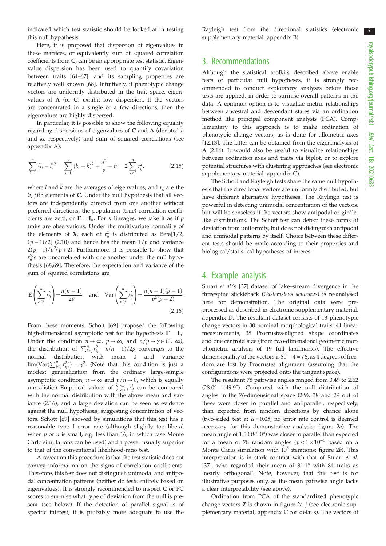indicated which test statistic should be looked at in testing this null hypothesis.

Here, it is proposed that dispersion of eigenvalues in these matrices, or equivalently sum of squared correlation coefficients from C, can be an appropriate test statistic. Eigenvalue dispersion has been used to quantify covariation between traits [\[64](#page-8-0)–[67\]](#page-8-0), and its sampling properties are relatively well known [[68\]](#page-8-0). Intuitively, if phenotypic change vectors are uniformly distributed in the trait space, eigenvalues of A (or C) exhibit low dispersion. If the vectors are concentrated in a single or a few directions, then the eigenvalues are highly dispersed.

In particular, it is possible to show the following equality regarding dispersions of eigenvalues of  $C$  and  $A$  (denoted  $l_i$ and  $k_i$ , respectively) and sum of squared correlations (see appendix A):

$$
\sum_{i=1}^{n} (l_i - \bar{l})^2 = \sum_{i=1}^{p} (k_i - \bar{k})^2 + \frac{n^2}{p} - n = 2 \sum_{i < j}^{n} r_{ij}^2,\tag{2.15}
$$

where  $\overline{l}$  and  $\overline{k}$  are the averages of eigenvalues, and  $r_{ij}$  are the  $(i, j)$ th elements of C. Under the null hypothesis that all vectors are independently directed from one another without preferred directions, the population (true) correlation coefficients are zero, or  $\Gamma = I_n$ . For *n* lineages, we take it as if *p* traits are observations. Under the multivariate normality of the elements of **X**, each of  $r_{ii}^2$  is distributed as Beta[1/2,  $(p-1)/2$ ] (2.10) and hence has the mean  $1/p$  and variance  $2(p-1)/p^2(p+2)$ . Furthermore, it is possible to show that  $r_{ii}^2$ 's are uncorrelated with one another under the null hypothesis [[68,69](#page-8-0)]. Therefore, the expectation and variance of the sum of squared correlations are:

$$
E\left(\sum_{i\n(2.16)
$$

From these moments, Schott [[69\]](#page-8-0) proposed the following high-dimensional asymptotic test for the hypothesis  $\Gamma = I_n$ . Under the condition  $n \to \infty$ ,  $p \to \infty$ , and  $n/p \to \gamma \in (0, \infty)$ , the distribution of  $\sum_{i < j}^{n} r_{ij}^2 - n(n-1)/2p$  converges to the normal distribution with mean 0 and variance  $\lim(\text{Var}(\sum_{i \leq j}^{n} r_{ij}^2)) = \gamma^2$ . (Note that this condition is just a modest generalization from the ordinary large-sample asymptotic condition,  $n \to \infty$  and  $p/n \to 0$ , which is equally unrealistic.) Empirical values of  $\sum_{i < j}^{n} r_{ij}^2$  can be compared with the normal distribution with the above mean and variance (2.16), and a large deviation can be seen as evidence against the null hypothesis, suggesting concentration of vectors. Schott [\[69](#page-8-0)] showed by simulations that this test has a reasonable type I error rate (although slightly too liberal when  $p$  or  $n$  is small, e.g. less than 16, in which case Monte Carlo simulations can be used) and a power usually superior to that of the conventional likelihood-ratio test.

A caveat on this procedure is that the test statistic does not convey information on the signs of correlation coefficients. Therefore, this test does not distinguish unimodal and antipodal concentration patterns (neither do tests entirely based on eigenvalues). It is strongly recommended to inspect C or PC scores to surmise what type of deviation from the null is present (see below). If the detection of parallel signal is of specific interest, it is probably more adequate to use the

Rayleigh test from the directional statistics (electronic supplementary material, appendix B).

## 3. Recommendations

Although the statistical toolkits described above enable tests of particular null hypotheses, it is strongly recommended to conduct exploratory analyses before those tests are applied, in order to surmise overall patterns in the data. A common option is to visualize metric relationships between ancestral and descendant states via an ordination method like principal component analysis (PCA). Complementary to this approach is to make ordination of phenotypic change vectors, as is done for allometric axes [[12,13\]](#page-7-0). The latter can be obtained from the eigenanalysis of A (2.14). It would also be useful to visualize relationships between ordination axes and traits via biplot, or to explore potential structures with clustering approaches (see electronic supplementary material, appendix C).

The Schott and Rayleigh tests share the same null hypothesis that the directional vectors are uniformly distributed, but have different alternative hypotheses. The Rayleigh test is powerful in detecting unimodal concentration of the vectors, but will be senseless if the vectors show antipodal or girdlelike distributions. The Schott test can detect these forms of deviation from uniformity, but does not distinguish antipodal and unimodal patterns by itself. Choice between these different tests should be made according to their properties and biological/statistical hypotheses of interest.

## 4. Example analysis

Stuart et al.'s [[37\]](#page-7-0) dataset of lake–stream divergence in the threespine stickleback (Gasterosteus aculeatus) is re-analysed here for demonstration. The original data were preprocessed as described in electronic supplementary material, appendix D. The resultant dataset consists of 13 phenotypic change vectors in 80 nominal morphological traits: 41 linear measurements, 38 Procrustes-aligned shape coordinates and one centroid size (from two-dimensional geometric morphometric analysis of 19 full landmarks). The effective dimensionality of the vectors is  $80 - 4 = 76$ , as 4 degrees of freedom are lost by Procrustes alignment (assuming that the configurations were projected onto the tangent space).

The resultant 78 pairwise angles ranged from 0.49 to 2.62 (28.0° − 149.9°). Compared with the null distribution of angles in the 76-dimensional space (2.9), 38 and 29 out of these were closer to parallel and antiparallel, respectively, than expected from random directions by chance alone (two-sided test at  $\alpha$  = 0.05; no error rate control is deemed necessary for this demonstrative analysis; [figure 2](#page-5-0)a). The mean angle of 1.50 (86.0°) was closer to parallel than expected for a mean of 78 random angles ( $p < 1 \times 10^{-5}$  based on a Monte Carlo simulation with  $10^5$  iterations; [figure 2](#page-5-0)b). This interpretation is in stark contrast with that of Stuart et al. [[37\]](#page-7-0), who regarded their mean of 81.1° with 84 traits as 'nearly orthogonal'. Note, however, that this test is for illustrative purposes only, as the mean pairwise angle lacks a clear interpretability (see above).

Ordination from PCA of the standardized phenotypic change vectors  $Z$  is shown in figure  $2c-f$  (see electronic supplementary material, appendix C for details). The vectors of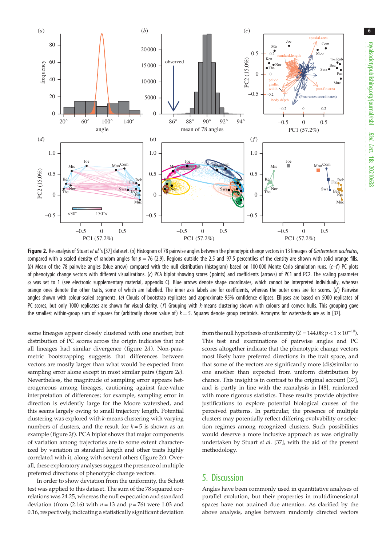<span id="page-5-0"></span>

Figure 2. Re-analysis of Stuart et al.'s [[37](#page-7-0)] dataset. (a) Histogram of 78 pairwise angles between the phenotypic change vectors in 13 lineages of Gasterosteus aculeatus, compared with a scaled density of random angles for  $p = 76$  (2.9). Regions outside the 2.5 and 97.5 percentiles of the density are shown with solid orange fills. (b) Mean of the 78 pairwise angles (blue arrow) compared with the null distribution (histogram) based on 100 000 Monte Carlo simulation runs.  $(c-f)$  PC plots of phenotypic change vectors with different visualizations. (c) PCA biplot showing scores ( points) and coefficients (arrows) of PC1 and PC2. The scaling parameter  $\alpha$  was set to 1 (see electronic supplementary material, appendix C). Blue arrows denote shape coordinates, which cannot be interpreted individually, whereas orange ones denote the other traits, some of which are labelled. The inner axis labels are for coefficients, whereas the outer ones are for scores. (d) Pairwise angles shown with colour-scaled segments. (e) Clouds of bootstrap replicates and approximate 95% confidence ellipses. Ellipses are based on 5000 replicates of PC scores, but only 1000 replicates are shown for visual clarity.  $(f)$  Grouping with k-means clustering shown with colours and convex hulls. This grouping gave the smallest within-group sum of squares for (arbitrarily chosen value of)  $k = 5$ . Squares denote group centroids. Acronyms for watersheds are as in [[37](#page-7-0)].

some lineages appear closely clustered with one another, but distribution of PC scores across the origin indicates that not all lineages had similar divergence (figure 2d). Non-parametric bootstrapping suggests that differences between vectors are mostly larger than what would be expected from sampling error alone except in most similar pairs (figure 2e). Nevertheless, the magnitude of sampling error appears heterogeneous among lineages, cautioning against face-value interpretation of differences; for example, sampling error in direction is evidently large for the Moore watershed, and this seems largely owing to small trajectory length. Potential clustering was explored with k-means clustering with varying numbers of clusters, and the result for  $k = 5$  is shown as an example (figure 2f). PCA biplot shows that major components of variation among trajectories are to some extent characterized by variation in standard length and other traits highly correlated with it, along with several others (figure 2c). Overall, these exploratory analyses suggest the presence of multiple preferred directions of phenotypic change vectors.

In order to show deviation from the uniformity, the Schott test was applied to this dataset. The sum of the 78 squared correlations was 24.25, whereas the null expectation and standard deviation (from (2.16) with  $n = 13$  and  $p = 76$ ) were 1.03 and 0.16, respectively, indicating a statistically significant deviation from the null hypothesis of uniformity ( $Z = 144.08; p < 1 \times 10^{-10}$ ). This test and examinations of pairwise angles and PC scores altogether indicate that the phenotypic change vectors most likely have preferred directions in the trait space, and that some of the vectors are significantly more (dis)similar to one another than expected from uniform distribution by chance. This insight is in contrast to the original account [[37\]](#page-7-0), and is partly in line with the reanalysis in [[48\]](#page-8-0), reinforced with more rigorous statistics. These results provide objective justifications to explore potential biological causes of the perceived patterns. In particular, the presence of multiple clusters may potentially reflect differing evolvability or selection regimes among recognized clusters. Such possibilities would deserve a more inclusive approach as was originally undertaken by Stuart et al. [[37\]](#page-7-0), with the aid of the present methodology.

## 5. Discussion

Angles have been commonly used in quantitative analyses of parallel evolution, but their properties in multidimensional spaces have not attained due attention. As clarified by the above analysis, angles between randomly directed vectors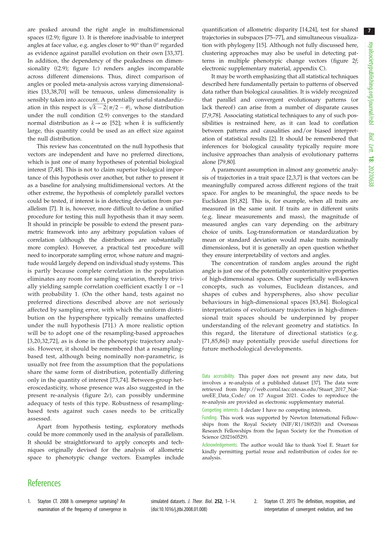<span id="page-6-0"></span>are peaked around the right angle in multidimensional spaces ((2.9); figure [1\)](#page-2-0). It is therefore inadvisable to interpret angles at face value, e.g. angles closer to 90° than 0° regarded as evidence against parallel evolution on their own [[33,37](#page-7-0)]. In addition, the dependency of the peakedness on dimensionality ((2.9); [figure 1](#page-2-0)c) renders angles incomparable across different dimensions. Thus, direct comparison of angles or pooled meta-analysis across varying dimensionalities [[33,38,](#page-7-0)[70](#page-8-0)] will be tenuous, unless dimensionality is sensibly taken into account. A potentially useful standardization in this respect is  $\sqrt{k-2}(\pi/2-\theta)$ , whose distribution under the null condition (2.9) converges to the standard normal distribution as  $k \to \infty$  [[52](#page-8-0)]; when k is sufficiently large, this quantity could be used as an effect size against the null distribution.

This review has concentrated on the null hypothesis that vectors are independent and have no preferred directions, which is just one of many hypotheses of potential biological interest [\[7](#page-7-0)[,48](#page-8-0)]. This is not to claim superior biological importance of this hypothesis over another, but rather to present it as a baseline for analysing multidimensional vectors. At the other extreme, the hypothesis of completely parallel vectors could be tested, if interest is in detecting deviation from parallelism [\[7\]](#page-7-0). It is, however, more difficult to define a unified procedure for testing this null hypothesis than it may seem. It should in principle be possible to extend the present parametric framework into any arbitrary population values of correlation (although the distributions are substantially more complex). However, a practical test procedure will need to incorporate sampling error, whose nature and magnitude would largely depend on individual study systems. This is partly because complete correlation in the population eliminates any room for sampling variation, thereby trivially yielding sample correlation coefficient exactly 1 or −1 with probability 1. (On the other hand, tests against no preferred directions described above are not seriously affected by sampling error, with which the uniform distribution on the hypersphere typically remains unaffected under the null hypothesis [\[71\]](#page-8-0).) A more realistic option will be to adopt one of the resampling-based approaches [[3](#page-7-0),[20](#page-7-0),[32](#page-7-0),[72](#page-8-0)], as is done in the phenotypic trajectory analysis. However, it should be remembered that a resamplingbased test, although being nominally non-parametric, is usually not free from the assumption that the populations share the same form of distribution, potentially differing only in the quantity of interest [[73,74](#page-8-0)]. Between-group heteroscedasticity, whose presence was also suggested in the present re-analysis [\( figure 2](#page-5-0)e), can possibly undermine adequacy of tests of this type. Robustness of resamplingbased tests against such cases needs to be critically assessed.

Apart from hypothesis testing, exploratory methods could be more commonly used in the analysis of parallelism. It should be straightforward to apply concepts and techniques originally devised for the analysis of allometric space to phenotypic change vectors. Examples include quantification of allometric disparity [[14,24\]](#page-7-0), test for shared trajectories in subspaces [[75](#page-8-0)–[77](#page-8-0)], and simultaneous visualization with phylogeny [[15\]](#page-7-0). Although not fully discussed here, clustering approaches may also be useful in detecting patterns in multiple phenotypic change vectors [\(figure 2](#page-5-0)f; electronic supplementary material, appendix C).

It may be worth emphasizing that all statistical techniques described here fundamentally pertain to patterns of observed data rather than biological causalities. It is widely recognized that parallel and convergent evolutionary patterns (or lack thereof) can arise from a number of disparate causes [[7,9](#page-7-0)[,78](#page-8-0)]. Associating statistical techniques to any of such possibilities is restrained here, as it can lead to conflation between patterns and causalities and/or biased interpretation of statistical results [2]. It should be remembered that inferences for biological causality typically require more inclusive approaches than analysis of evolutionary patterns alone [[79,80](#page-8-0)].

A paramount assumption in almost any geometric analysis of trajectories in a trait space [2,[3](#page-7-0),[7](#page-7-0)] is that vectors can be meaningfully compared across different regions of the trait space. For angles to be meaningful, the space needs to be Euclidean [\[81,82](#page-8-0)]. This is, for example, when all traits are measured in the same unit. If traits are in different units (e.g. linear measurements and mass), the magnitude of measured angles can vary depending on the arbitrary choice of units. Log-transformation or standardization by mean or standard deviation would make traits nominally dimensionless, but it is generally an open question whether they ensure interpretability of vectors and angles.

The concentration of random angles around the right angle is just one of the potentially counterintuitive properties of high-dimensional spaces. Other superficially well-known concepts, such as volumes, Euclidean distances, and shapes of cubes and hyperspheres, also show peculiar behaviours in high-dimensional spaces [[83](#page-8-0),[84](#page-8-0)]. Biological interpretations of evolutionary trajectories in high-dimensional trait spaces should be underpinned by proper understanding of the relevant geometry and statistics. In this regard, the literature of directional statistics (e.g. [[71](#page-8-0),[85](#page-8-0),[86\]](#page-8-0)) may potentially provide useful directions for future methodological developments.

Competing interests. I declare I have no competing interests.

## **References**

1. Stayton CT. 2008 Is convergence surprising? An examination of the frequency of convergence in simulated datasets. J. Theor. Biol. 252, 1-14. [\(doi:10.1016/j.jtbi.2008.01.008\)](https://doi.org/10.1016/j.jtbi.2008.01.008)

2. Stayton CT. 2015 The definition, recognition, and interpretation of convergent evolution, and two

Data accessibility. This paper does not present any new data, but involves a re-analysis of a published dataset [\[37](#page-7-0)]. The data were retrieved from [http://web.corral.tacc.utexas.edu/Stuart\\_2017\\_Nat](http://web.corral.tacc.utexas.edu/Stuart_2017_NatureEE_Data_Code/)[ureEE\\_Data\\_Code/](http://web.corral.tacc.utexas.edu/Stuart_2017_NatureEE_Data_Code/) on 17 August 2021. Codes to reproduce the re-analysis are provided as electronic supplementary material.

Funding. This work was supported by Newton International Fellowships from the Royal Society (NIF/R1/180520) and Overseas Research Fellowships from the Japan Society for the Promotion of Science (202160529).

Acknowledgements. The author would like to thank Yoel E. Stuart for kindly permitting partial reuse and redistribution of codes for reanalysis.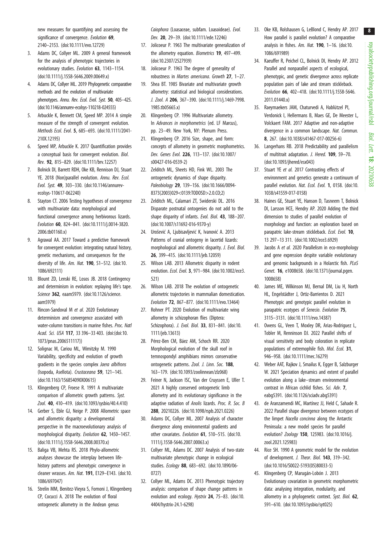royalsocietypublishing.org/journal/rsbl royalsocietypublishing.org/journal/rsbl Biol. Lett. 18: 20210638

8

<span id="page-7-0"></span>new measures for quantifying and assessing the significance of convergence. Evolution 69, 2140–2153. [\(doi:10.1111/evo.12729](http://dx.doi.org/10.1111/evo.12729))

- 3. Adams DC, Collyer ML. 2009 A general framework for the analysis of phenotypic trajectories in evolutionary studies. Evolution 63, 1143–1154. [\(doi:10.1111/j.1558-5646.2009.00649.x](http://dx.doi.org/10.1111/j.1558-5646.2009.00649.x))
- 4. Adams DC, Collyer ML. 2019 Phylogenetic comparative methods and the evolution of multivariate phenotypes. Annu. Rev. Ecol. Evol. Syst. 50, 405-425. [\(doi:10.1146/annurev-ecolsys-110218-024555\)](http://dx.doi.org/10.1146/annurev-ecolsys-110218-024555)
- 5. Arbuckle K, Bennett CM, Speed MP. 2014 A simple measure of the strength of convergent evolution. Methods Ecol. Evol. 5, 685–693. ([doi:10.1111/2041-](http://dx.doi.org/10.1111/2041-210X.12195) [210X.12195](http://dx.doi.org/10.1111/2041-210X.12195))
- 6. Speed MP, Arbuckle K. 2017 Quantification provides a conceptual basis for convergent evolution. Biol. Rev. 92, 815–829. [\(doi:10.1111/brv.12257\)](http://dx.doi.org/10.1111/brv.12257)
- 7. Bolnick DI, Barrett RDH, Oke KB, Rennison DJ, Stuart YE. 2018 (Non)parallel evolution. Annu. Rev. Ecol. Evol. Syst. 49, 303–330. [\(doi:10.1146/annurev](http://dx.doi.org/10.1146/annurev-ecolsys-110617-062240)[ecolsys-110617-062240](http://dx.doi.org/10.1146/annurev-ecolsys-110617-062240))
- 8. Stayton CT. 2006 Testing hypotheses of convergence with multivariate data: morphological and functional convergence among herbivorous lizards. Evolution 60, 824–841. ([doi:10.1111/j.0014-3820.](http://dx.doi.org/10.1111/j.0014-3820.2006.tb01160.x) [2006.tb01160.x\)](http://dx.doi.org/10.1111/j.0014-3820.2006.tb01160.x)
- 9. Agrawal AA. 2017 Toward a predictive framework for convergent evolution: integrating natural history, genetic mechanisms, and consequences for the diversity of life. Am. Nat. 190, S1-S12. ([doi:10.](http://dx.doi.org/10.1086/692111) [1086/692111](http://dx.doi.org/10.1086/692111))
- 10. Blount ZD, Lenski RE, Losos JB. 2018 Contingency and determinism in evolution: replaying life's tape. Science 362, eaam5979. ([doi:10.1126/science.](http://dx.doi.org/10.1126/science.aam5979) [aam5979\)](http://dx.doi.org/10.1126/science.aam5979)
- 11. Rincon-Sandoval M et al. 2020 Evolutionary determinism and convergence associated with water-column transitions in marine fishes. Proc. Natl Acad. Sci. USA 117, 33 396–33 403. ([doi:\(doi:10.](http://dx.doi.org/(doi:10.1073/pnas.2006511117) [1073/pnas.2006511117\)](http://dx.doi.org/(doi:10.1073/pnas.2006511117))
- 12. Solignac M, Cariou ML, Wimitzky M. 1990 Variability, specificity and evolution of growth gradients in the species complex Jaera albifrons (Isopoda, Asellota). Crustaceana 59, 121–145. [\(doi:10.1163/156854090X00615\)](http://dx.doi.org/10.1163/156854090X00615)
- 13. Klingenberg CP, Froese R. 1991 A multivariate comparison of allometric growth patterns. Syst. Zool. 40, 410–419. ([doi:10.1093/sysbio/40.4.410\)](http://dx.doi.org/10.1093/sysbio/40.4.410)
- 14. Gerber S, Eble GJ, Neige P. 2008 Allometric space and allometric disparity: a developmental perspective in the macroevolutionary analysis of morphological disparity. Evolution 62, 1450–1457. [\(doi:10.1111/j.1558-5646.2008.00370.x](http://dx.doi.org/10.1111/j.1558-5646.2008.00370.x))
- 15. Baliga VB, Mehta RS. 2018 Phylo-allometric analyses showcase the interplay between lifehistory patterns and phenotypic convergence in cleaner wrasses. Am. Nat. 191, E129–E143. ([doi:10.](http://dx.doi.org/10.1086/697047) [1086/697047](http://dx.doi.org/10.1086/697047))
- 16. Strelin MM, Benitez-Vieyra S, Fornoni J, Klingenberg CP, Cocucci A. 2018 The evolution of floral ontogenetic allometry in the Andean genus

Caiophora (Loasaceae, subfam. Loasoideae). Evol. Dev. 20, 29–39. ([doi:10.1111/ede.12246\)](http://dx.doi.org/10.1111/ede.12246)

- 17. Jolicoeur P. 1963 The multivariate generalization of the allometry equation. Biometrics 19, 497–499. [\(doi:10.2307/2527939](http://dx.doi.org/10.2307/2527939))
- 18. Jolicoeur P. 1963 The degree of generality of robustness in Martes americana. Growth 27, 1–27.
- 19. Shea BT. 1985 Bivariate and multivariate growth allometry: statistical and biological considerations. J. Zool. A 206, 367–390. ([doi:10.1111/j.1469-7998.](http://dx.doi.org/10.1111/j.1469-7998.1985.tb05665.x) [1985.tb05665.x](http://dx.doi.org/10.1111/j.1469-7998.1985.tb05665.x))
- 20. Klingenberg CP. 1996 Multivariate allometry. In Advances in morphometrics (ed. LF Marcus), pp. 23–49. New York, NY: Plenum Press.
- 21. Klingenberg CP. 2016 Size, shape, and form: concepts of allometry in geometric morphometrics. Dev. Genes Evol. 226, 113–137. [\(doi:10.1007/](http://dx.doi.org/10.1007/s00427-016-0539-2) [s00427-016-0539-2\)](http://dx.doi.org/10.1007/s00427-016-0539-2)
- 22. Zelditch ML, Sheets HD, Fink WL. 2003 The ontogenetic dynamics of shape disparity. Paleobiology 29, 139-156. ([doi:10.1666/0094-](http://dx.doi.org/10.1666/0094-8373(2003)029%3C0139:TODOSD%3E2.0.CO;2) [8373\(2003\)029<0139:TODOSD>2.0.CO;2](http://dx.doi.org/10.1666/0094-8373(2003)029%3C0139:TODOSD%3E2.0.CO;2))
- 23. Zelditch ML, Calamari ZT, Swiderski DL. 2016 Disparate postnatal ontogenies do not add to the shape disparity of infants. Evol. Biol. 43, 188-207. [\(doi:10.1007/s11692-016-9370-y](http://dx.doi.org/10.1007/s11692-016-9370-y))
- 24. Urošević A, Ljubisavljević K, Ivanović A. 2013 Patterns of cranial ontogeny in lacertid lizards: morphological and allometric disparity. J. Evol. Biol. 26, 399–415. ([doi:10.1111/jeb.12059](http://dx.doi.org/10.1111/jeb.12059))
- 25. Wilson LAB. 2013 Allometric disparity in rodent evolution. Ecol. Evol. 3, 971–984. [\(doi:10.1002/ece3.](http://dx.doi.org/10.1002/ece3.521) [521](http://dx.doi.org/10.1002/ece3.521))
- 26. Wilson LAB. 2018 The evolution of ontogenetic allometric trajectories in mammalian domestication. Evolution 72, 867–877. [\(doi:10.1111/evo.13464](http://dx.doi.org/10.1111/evo.13464))
- 27. Rohner PT. 2020 Evolution of multivariate wing allometry in schizophoran flies (Diptera: Schizophora). J. Evol. Biol. 33, 831–841. ([doi:10.](http://dx.doi.org/10.1111/jeb.13613) [1111/jeb.13613\)](http://dx.doi.org/10.1111/jeb.13613)
- 28. Pérez-Ben CM, Báez AM, Schoch RR. 2020 Morphological evolution of the skull roof in temnospondyl amphibians mirrors conservative ontogenetic patterns. Zool. J. Linn. Soc. 188. 163–179. ([doi:10.1093/zoolinnean/zlz068\)](http://dx.doi.org/10.1093/zoolinnean/zlz068)
- 29. Feiner N, Jackson ISC, Van der Cruyssen E, Uller T. 2021 A highly conserved ontogenetic limb allometry and its evolutionary significance in the adaptive radiation of Anolis lizards. Proc. R. Soc. B 288, 20210226. ([doi:10.1098/rspb.2021.0226](http://dx.doi.org/10.1098/rspb.2021.0226))
- 30. Adams DC, Collyer ML. 2007 Analysis of character divergence along environmental gradients and other covariates. Evolution 61, 510-515. [\(doi:10.](http://dx.doi.org/10.1111/j.1558-5646.2007.00063.x) [1111/j.1558-5646.2007.00063.x](http://dx.doi.org/10.1111/j.1558-5646.2007.00063.x))
- 31. Collyer ML, Adams DC. 2007 Analysis of two-state multivariate phenotypic change in ecological studies. Ecology 88, 683–692. ([doi:10.1890/06-](http://dx.doi.org/10.1890/06-0727) [0727](http://dx.doi.org/10.1890/06-0727))
- 32. Collyer ML, Adams DC. 2013 Phenotypic trajectory analysis: comparison of shape change patterns in evolution and ecology. Hystrix 24, 75–83. [\(doi:10.](http://dx.doi.org/10.4404/hystrix-24.1-6298) [4404/hystrix-24.1-6298\)](http://dx.doi.org/10.4404/hystrix-24.1-6298)
- 33. Oke KB, Rolshausen G, LeBlond C, Hendry AP. 2017 How parallel is parallel evolution? A comparative analysis in fishes. Am. Nat. 190, 1–16. [\(doi:10.](https://doi.org/10.1086/691989) [1086/691989\)](https://doi.org/10.1086/691989)
- 34. Kaeuffer R, Peichel CL, Bolnick DI, Hendry AP. 2012 Parallel and nonparallel aspects of ecological, phenotypic, and genetic divergence across replicate population pairs of lake and stream stickleback. Evolution 66, 402–418. [\(doi:10.1111/j.1558-5646.](http://dx.doi.org/10.1111/j.1558-5646.2011.01440.x) [2011.01440.x](http://dx.doi.org/10.1111/j.1558-5646.2011.01440.x))
- 35. Raeymaekers JAM, Chaturvedi A, Hablützel PI, Verdonick I, Hellermans B, Maes GE, De Meester L, Volckaert FAM. 2017 Adaptive and non-adaptive divergence in a common landscape. Nat. Commun. 8, 267. [\(doi:10.1038/s41467-017-00256-6\)](http://dx.doi.org/10.1038/s41467-017-00256-6)
- 36. Langerhans RB. 2018 Predictability and parallelism of multitrait adaptation. J. Hered. 109, 59–70. ([doi:10.1093/jhered/esx043\)](http://dx.doi.org/10.1093/jhered/esx043)
- 37. Stuart YE et al. 2017 Contrasting effects of environment and genetics generate a continuum of parallel evolution. Nat. Ecol. Evol. 1, 0158. [\(doi:10.](https://doi.org/10.1038/s41559-017-0158) [1038/s41559-017-0158\)](https://doi.org/10.1038/s41559-017-0158)
- 38. Haines GE, Stuart YE, Hanson D, Tasneem T, Bolnick DI, Larsson HCE, Hendry AP. 2020 Adding the third dimension to studies of parallel evolution of morphology and function: an exploration based on parapatric lake-stream stickleback. Ecol. Evol. 10. 13 297–13 311. ([doi:10.1002/ece3.6929](https://doi.org/10.1002/ece3.6929))
- 39. Jacobs A et al. 2020 Parallelism in eco-morphology and gene expression despite variable evolutionary and genomic backgrounds in a Holarctic fish. PLoS Genet. 16, e1008658. ([doi:10.1371/journal.pgen.](http://dx.doi.org/10.1371/journal.pgen.1008658) [1008658](http://dx.doi.org/10.1371/journal.pgen.1008658))
- 40. James ME, Wilkinson MJ, Bernal DM, Liu H, North HL, Engelstädter J, Ortiz-Barrientos D. 2021 Phenotypic and genotypic parallel evolution in parapatric ecotypes of Senecio. Evolution 75, 3115–3131. [\(doi:10.1111/evo.14387\)](http://dx.doi.org/10.1111/evo.14387)
- 41. Owens GL, Veen T, Moxley DR, Arias-Rodriguez L, Tobler M, Renninson DJ. 2022 Parallel shifts of visual sensitivity and body coloration in replicate populations of extremophile fish. Mol. Ecol. 31, 946–958. [\(doi:10.1111/mec.16279\)](https://doi.org/10.1111/mec.16279)
- 42. Weber AAT, Rajkov J, Smailus K, Egger B, Salzburger W. 2021 Speciation dynamics and extent of parallel evolution along a lake–stream environmental contrast in African cichlid fishes. Sci. Adv. 7, eabg5391. ([doi:10.1126/sciadv.abg5391](http://dx.doi.org/10.1126/sciadv.abg5391))
- 43. de Aranzamendi MC, Martínez JJ, Held C, Sahade R. 2022 Parallel shape divergence between ecotypes of the limpet Nacella concinna along the Antarctic Peninsula: a new model species for parallel evolution? Zoology 150, 125983. ([doi:10.1016/j.](http://dx.doi.org/10.1016/j.zool.2021.125983) [zool.2021.125983](http://dx.doi.org/10.1016/j.zool.2021.125983))
- 44. Rice SH. 1990 A geometric model for the evolution of development. J. Theor. Biol. 143, 319–342. ([doi:10.1016/S0022-5193\(05\)80033-5](http://dx.doi.org/10.1016/S0022-5193(05)80033-5))
- 45. Klingenberg CP, Marugán-Lobón J. 2013 Evolutionary covariation in geometric morphometric data: analysing integration, modularity, and allometry in a phylogenetic context. Syst. Biol. 62, 591–610. [\(doi:10.1093/sysbio/syt025](http://dx.doi.org/10.1093/sysbio/syt025))